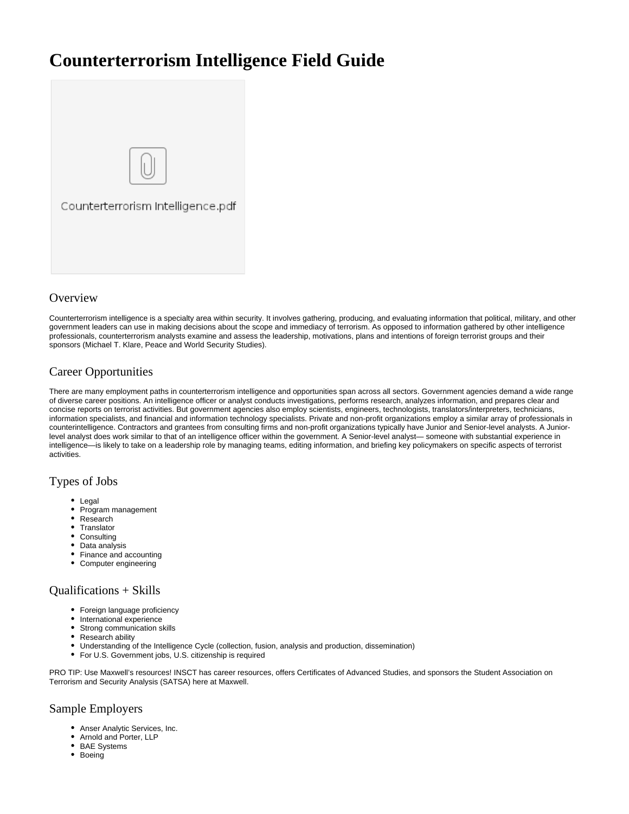# **Counterterrorism Intelligence Field Guide**



### **Overview**

Counterterrorism intelligence is a specialty area within security. It involves gathering, producing, and evaluating information that political, military, and other government leaders can use in making decisions about the scope and immediacy of terrorism. As opposed to information gathered by other intelligence professionals, counterterrorism analysts examine and assess the leadership, motivations, plans and intentions of foreign terrorist groups and their sponsors (Michael T. Klare, Peace and World Security Studies).

## Career Opportunities

There are many employment paths in counterterrorism intelligence and opportunities span across all sectors. Government agencies demand a wide range of diverse career positions. An intelligence officer or analyst conducts investigations, performs research, analyzes information, and prepares clear and concise reports on terrorist activities. But government agencies also employ scientists, engineers, technologists, translators/interpreters, technicians, information specialists, and financial and information technology specialists. Private and non-profit organizations employ a similar array of professionals in counterintelligence. Contractors and grantees from consulting firms and non-profit organizations typically have Junior and Senior-level analysts. A Juniorlevel analyst does work similar to that of an intelligence officer within the government. A Senior-level analyst— someone with substantial experience in intelligence—is likely to take on a leadership role by managing teams, editing information, and briefing key policymakers on specific aspects of terrorist activities.

#### Types of Jobs

- Legal
- Program management  $\bullet$
- Research
- Translator
- Consulting • Data analysis
- 
- Finance and accounting
- Computer engineering

#### Qualifications + Skills

- Foreign language proficiency
- International experience
- Strong communication skills
- Research ability
- Understanding of the Intelligence Cycle (collection, fusion, analysis and production, dissemination)
- For U.S. Government jobs, U.S. citizenship is required

PRO TIP: Use Maxwell's resources! INSCT has career resources, offers Certificates of Advanced Studies, and sponsors the Student Association on Terrorism and Security Analysis (SATSA) here at Maxwell.

#### Sample Employers

- Anser Analytic Services, Inc.
- Arnold and Porter, LLP
- BAE Systems
- Boeing